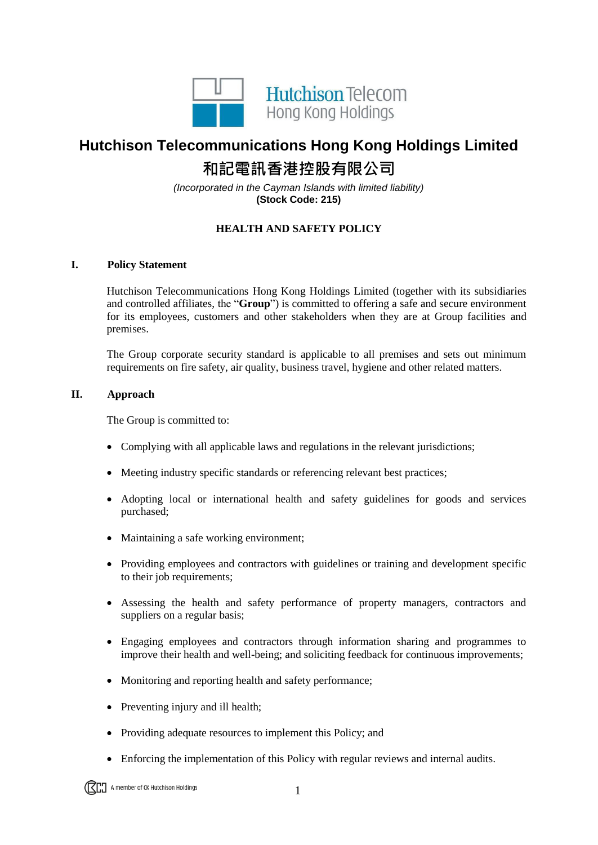

## **Hutchison Telecommunications Hong Kong Holdings Limited 和記電訊香港控股有限公司**

*(Incorporated in the Cayman Islands with limited liability)* **(Stock Code: 215)**

## **HEALTH AND SAFETY POLICY**

## **I. Policy Statement**

Hutchison Telecommunications Hong Kong Holdings Limited (together with its subsidiaries and controlled affiliates, the "**Group**") is committed to offering a safe and secure environment for its employees, customers and other stakeholders when they are at Group facilities and premises.

The Group corporate security standard is applicable to all premises and sets out minimum requirements on fire safety, air quality, business travel, hygiene and other related matters.

## **II. Approach**

The Group is committed to:

- Complying with all applicable laws and regulations in the relevant jurisdictions;
- Meeting industry specific standards or referencing relevant best practices;
- Adopting local or international health and safety guidelines for goods and services purchased;
- Maintaining a safe working environment;
- Providing employees and contractors with guidelines or training and development specific to their job requirements;
- Assessing the health and safety performance of property managers, contractors and suppliers on a regular basis;
- Engaging employees and contractors through information sharing and programmes to improve their health and well-being; and soliciting feedback for continuous improvements;
- Monitoring and reporting health and safety performance;
- Preventing injury and ill health;
- Providing adequate resources to implement this Policy; and
- Enforcing the implementation of this Policy with regular reviews and internal audits.